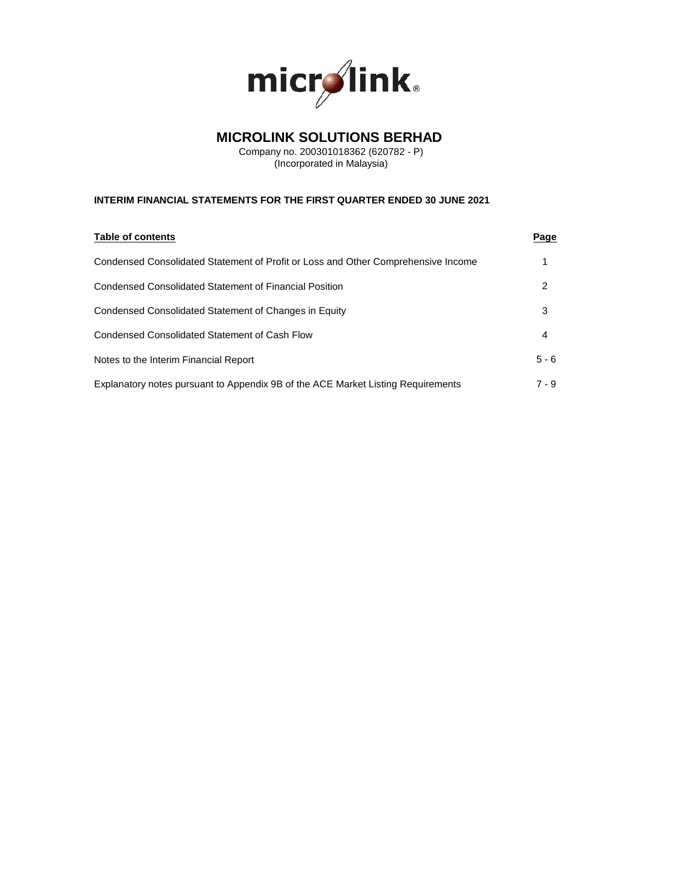

# **MICROLINK SOLUTIONS BERHAD**

Company no. 200301018362 (620782 - P) (Incorporated in Malaysia)

# **INTERIM FINANCIAL STATEMENTS FOR THE FIRST QUARTER ENDED 30 JUNE 2021**

| <b>Table of contents</b>                                                          | Page    |
|-----------------------------------------------------------------------------------|---------|
| Condensed Consolidated Statement of Profit or Loss and Other Comprehensive Income |         |
| Condensed Consolidated Statement of Financial Position                            | 2       |
| Condensed Consolidated Statement of Changes in Equity                             | 3       |
| Condensed Consolidated Statement of Cash Flow                                     | 4       |
| Notes to the Interim Financial Report                                             | $5 - 6$ |
| Explanatory notes pursuant to Appendix 9B of the ACE Market Listing Requirements  | 7 - 9   |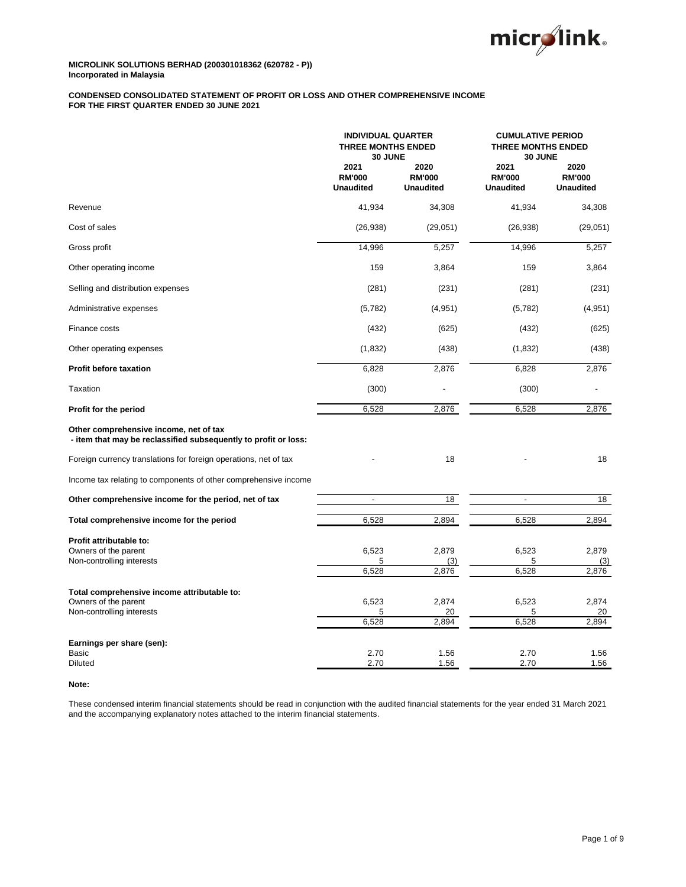

## **CONDENSED CONSOLIDATED STATEMENT OF PROFIT OR LOSS AND OTHER COMPREHENSIVE INCOME FOR THE FIRST QUARTER ENDED 30 JUNE 2021**

|                                                                                                           | <b>INDIVIDUAL QUARTER</b><br><b>THREE MONTHS ENDED</b><br>30 JUNE |                                           |                                           | <b>CUMULATIVE PERIOD</b><br><b>THREE MONTHS ENDED</b><br>30 JUNE |  |
|-----------------------------------------------------------------------------------------------------------|-------------------------------------------------------------------|-------------------------------------------|-------------------------------------------|------------------------------------------------------------------|--|
|                                                                                                           | 2021<br><b>RM'000</b><br><b>Unaudited</b>                         | 2020<br><b>RM'000</b><br><b>Unaudited</b> | 2021<br><b>RM'000</b><br><b>Unaudited</b> | 2020<br><b>RM'000</b><br><b>Unaudited</b>                        |  |
| Revenue                                                                                                   | 41,934                                                            | 34,308                                    | 41,934                                    | 34,308                                                           |  |
| Cost of sales                                                                                             | (26, 938)                                                         | (29,051)                                  | (26, 938)                                 | (29,051)                                                         |  |
| Gross profit                                                                                              | 14,996                                                            | 5,257                                     | 14,996                                    | 5,257                                                            |  |
| Other operating income                                                                                    | 159                                                               | 3,864                                     | 159                                       | 3,864                                                            |  |
| Selling and distribution expenses                                                                         | (281)                                                             | (231)                                     | (281)                                     | (231)                                                            |  |
| Administrative expenses                                                                                   | (5,782)                                                           | (4,951)                                   | (5,782)                                   | (4, 951)                                                         |  |
| Finance costs                                                                                             | (432)                                                             | (625)                                     | (432)                                     | (625)                                                            |  |
| Other operating expenses                                                                                  | (1,832)                                                           | (438)                                     | (1,832)                                   | (438)                                                            |  |
| <b>Profit before taxation</b>                                                                             | 6,828                                                             | 2,876                                     | 6,828                                     | 2,876                                                            |  |
| Taxation                                                                                                  | (300)                                                             |                                           | (300)                                     |                                                                  |  |
| Profit for the period                                                                                     | 6,528                                                             | 2,876                                     | 6,528                                     | 2,876                                                            |  |
| Other comprehensive income, net of tax<br>- item that may be reclassified subsequently to profit or loss: |                                                                   |                                           |                                           |                                                                  |  |
| Foreign currency translations for foreign operations, net of tax                                          |                                                                   | 18                                        |                                           | 18                                                               |  |
| Income tax relating to components of other comprehensive income                                           |                                                                   |                                           |                                           |                                                                  |  |
| Other comprehensive income for the period, net of tax                                                     | $\frac{1}{2}$                                                     | 18                                        | ÷,                                        | 18                                                               |  |
| Total comprehensive income for the period                                                                 | 6,528                                                             | 2,894                                     | 6,528                                     | 2,894                                                            |  |
| Profit attributable to:<br>Owners of the parent<br>Non-controlling interests                              | 6,523<br>5<br>6,528                                               | 2,879<br>(3)<br>2,876                     | 6,523<br>5<br>6,528                       | 2,879<br>(3)<br>2,876                                            |  |
| Total comprehensive income attributable to:<br>Owners of the parent<br>Non-controlling interests          | 6,523<br>5<br>6,528                                               | 2,874<br>20<br>2,894                      | 6,523<br>5<br>6,528                       | 2,874<br>20<br>2,894                                             |  |
| Earnings per share (sen):<br><b>Basic</b><br><b>Diluted</b>                                               | 2.70<br>2.70                                                      | 1.56<br>1.56                              | 2.70<br>2.70                              | 1.56<br>1.56                                                     |  |

## **Note:**

These condensed interim financial statements should be read in conjunction with the audited financial statements for the year ended 31 March 2021 and the accompanying explanatory notes attached to the interim financial statements.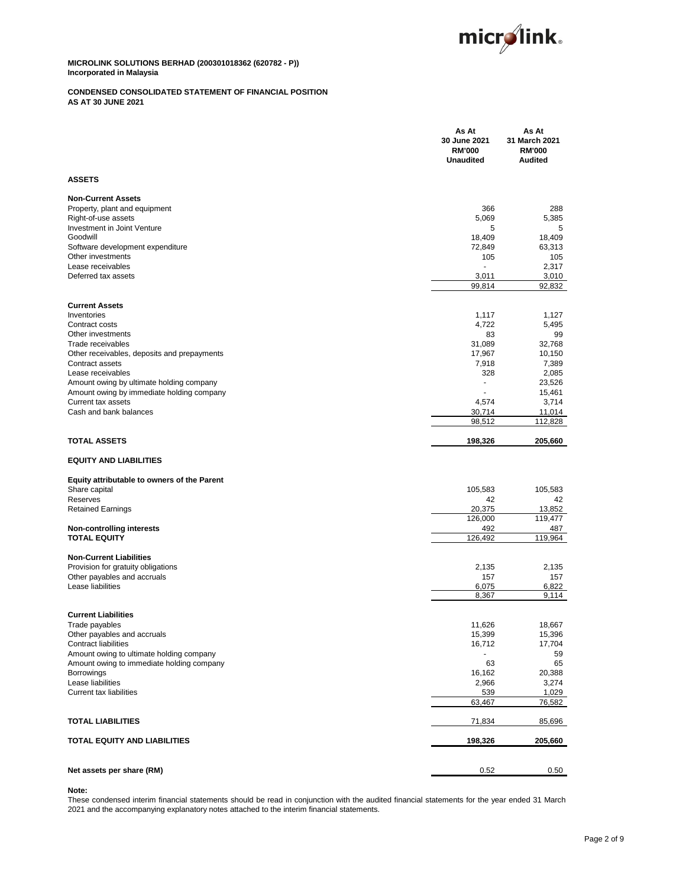

## **CONDENSED CONSOLIDATED STATEMENT OF FINANCIAL POSITION AS AT 30 JUNE 2021**

|                                                                                       | As At<br>30 June 2021<br><b>RM'000</b><br><b>Unaudited</b> | As At<br>31 March 2021<br><b>RM'000</b><br><b>Audited</b> |
|---------------------------------------------------------------------------------------|------------------------------------------------------------|-----------------------------------------------------------|
| <b>ASSETS</b>                                                                         |                                                            |                                                           |
| <b>Non-Current Assets</b>                                                             |                                                            |                                                           |
| Property, plant and equipment                                                         | 366                                                        | 288                                                       |
| Right-of-use assets                                                                   | 5,069                                                      | 5,385                                                     |
| Investment in Joint Venture                                                           | 5                                                          | 5                                                         |
| Goodwill                                                                              | 18,409                                                     | 18,409                                                    |
| Software development expenditure<br>Other investments                                 | 72,849<br>105                                              | 63,313<br>105                                             |
| Lease receivables                                                                     |                                                            | 2,317                                                     |
| Deferred tax assets                                                                   | 3,011                                                      | 3,010                                                     |
|                                                                                       | 99,814                                                     | 92,832                                                    |
| <b>Current Assets</b>                                                                 |                                                            |                                                           |
| Inventories                                                                           | 1,117                                                      | 1,127                                                     |
| Contract costs                                                                        | 4,722                                                      | 5,495                                                     |
| Other investments<br>Trade receivables                                                | 83                                                         | 99                                                        |
|                                                                                       | 31,089<br>17,967                                           | 32,768<br>10,150                                          |
| Other receivables, deposits and prepayments<br>Contract assets                        | 7,918                                                      | 7,389                                                     |
| Lease receivables                                                                     | 328                                                        | 2,085                                                     |
| Amount owing by ultimate holding company                                              | ä,                                                         | 23,526                                                    |
| Amount owing by immediate holding company                                             |                                                            | 15,461                                                    |
| Current tax assets                                                                    | 4,574                                                      | 3,714                                                     |
| Cash and bank balances                                                                | 30,714<br>98,512                                           | 11,014<br>112,828                                         |
|                                                                                       |                                                            |                                                           |
| <b>TOTAL ASSETS</b>                                                                   | 198,326                                                    | 205,660                                                   |
| <b>EQUITY AND LIABILITIES</b>                                                         |                                                            |                                                           |
| Equity attributable to owners of the Parent                                           |                                                            |                                                           |
| Share capital                                                                         | 105,583                                                    | 105,583                                                   |
| Reserves                                                                              | 42                                                         | 42                                                        |
| <b>Retained Earnings</b>                                                              | 20,375<br>126,000                                          | 13,852<br>119,477                                         |
| <b>Non-controlling interests</b>                                                      | 492                                                        | 487                                                       |
| <b>TOTAL EQUITY</b>                                                                   | 126,492                                                    | 119,964                                                   |
| <b>Non-Current Liabilities</b>                                                        |                                                            |                                                           |
| Provision for gratuity obligations                                                    | 2,135                                                      | 2,135                                                     |
| Other pavables and accruals                                                           | 157                                                        | 157                                                       |
| Lease liabilities                                                                     | 6,075                                                      | 6,822                                                     |
|                                                                                       | 8,367                                                      | 9,114                                                     |
| <b>Current Liabilities</b>                                                            |                                                            |                                                           |
| Trade payables                                                                        | 11,626                                                     | 18,667                                                    |
| Other payables and accruals                                                           | 15,399                                                     | 15,396                                                    |
| <b>Contract liabilities</b>                                                           | 16,712                                                     | 17,704                                                    |
| Amount owing to ultimate holding company<br>Amount owing to immediate holding company | 63                                                         | 59<br>65                                                  |
| Borrowings                                                                            | 16,162                                                     | 20,388                                                    |
| Lease liabilities                                                                     | 2,966                                                      | 3,274                                                     |
| Current tax liabilities                                                               | 539                                                        | 1,029                                                     |
|                                                                                       | 63,467                                                     | 76,582                                                    |
| <b>TOTAL LIABILITIES</b>                                                              | 71,834                                                     | 85,696                                                    |
| TOTAL EQUITY AND LIABILITIES                                                          | 198,326                                                    | 205,660                                                   |
|                                                                                       |                                                            |                                                           |
| Net assets per share (RM)                                                             | 0.52                                                       | 0.50                                                      |

## **Note:**

These condensed interim financial statements should be read in conjunction with the audited financial statements for the year ended 31 March 2021 and the accompanying explanatory notes attached to the interim financial statements.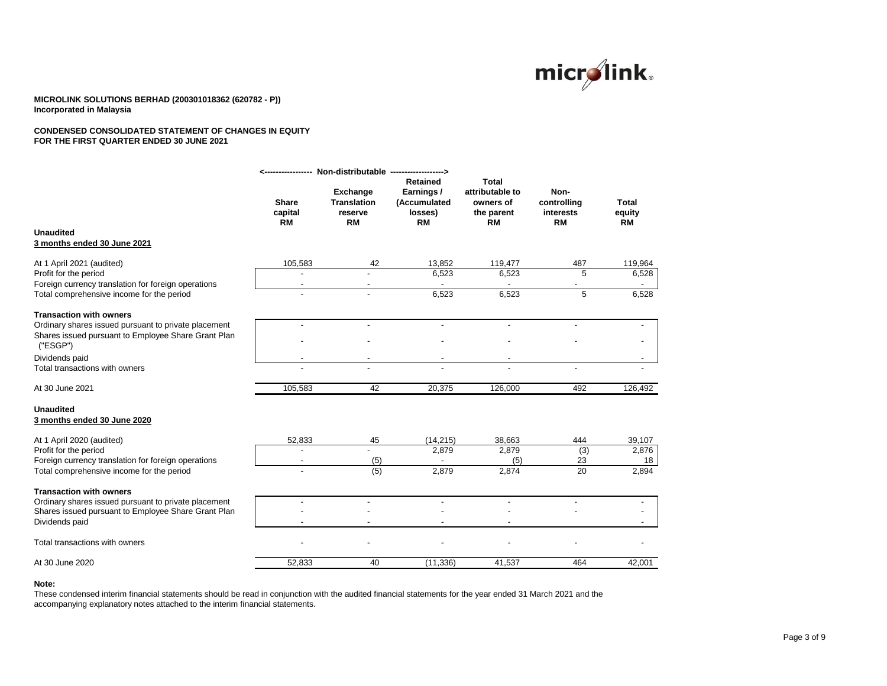

#### **CONDENSED CONSOLIDATED STATEMENT OF CHANGES IN EQUITY FOR THE FIRST QUARTER ENDED 30 JUNE 2021**

| Exchange<br>attributable to<br>Non-<br>Earnings/<br><b>Share</b><br><b>Translation</b><br>(Accumulated<br>controlling<br>owners of<br>Total<br>capital<br>losses)<br>equity<br>reserve<br>the parent<br>interests<br><b>RM</b><br><b>RM</b><br><b>RM</b><br><b>RM</b><br><b>RM</b><br><b>RM</b><br><b>Unaudited</b><br>3 months ended 30 June 2021<br>105,583<br>13.852<br>119,477<br>119,964<br>At 1 April 2021 (audited)<br>42<br>487<br>5<br>6,523<br>6,523<br>6,528<br>Profit for the period<br>Foreign currency translation for foreign operations<br>5<br>Total comprehensive income for the period<br>6,523<br>6,523<br>6,528<br><b>Transaction with owners</b><br>Ordinary shares issued pursuant to private placement<br>$\overline{a}$<br>Shares issued pursuant to Employee Share Grant Plan<br>('ESGP")<br>Dividends paid<br>Total transactions with owners<br>105,583<br>42<br>126,000<br>126,492<br>At 30 June 2021<br>20,375<br>492<br><b>Unaudited</b><br>3 months ended 30 June 2020<br>52,833<br>(14, 215)<br>45<br>38,663<br>444<br>39,107<br>At 1 April 2020 (audited)<br>(3)<br>Profit for the period<br>2,879<br>2,879<br>2,876<br>$\overline{a}$<br>Foreign currency translation for foreign operations<br>23<br>(5)<br>(5)<br>18<br>$\overline{\phantom{a}}$<br>(5)<br>20<br>2,874<br>2,894<br>Total comprehensive income for the period<br>2,879<br><b>Transaction with owners</b><br>Ordinary shares issued pursuant to private placement<br>Shares issued pursuant to Employee Share Grant Plan<br>Dividends paid<br>Total transactions with owners<br>52,833<br>40<br>(11, 336)<br>41,537<br>464<br>42,001<br>At 30 June 2020 |  | Non-distributable -------------------> | <b>Retained</b> | Total |  |
|-----------------------------------------------------------------------------------------------------------------------------------------------------------------------------------------------------------------------------------------------------------------------------------------------------------------------------------------------------------------------------------------------------------------------------------------------------------------------------------------------------------------------------------------------------------------------------------------------------------------------------------------------------------------------------------------------------------------------------------------------------------------------------------------------------------------------------------------------------------------------------------------------------------------------------------------------------------------------------------------------------------------------------------------------------------------------------------------------------------------------------------------------------------------------------------------------------------------------------------------------------------------------------------------------------------------------------------------------------------------------------------------------------------------------------------------------------------------------------------------------------------------------------------------------------------------------------------------------------------------------------------------------------------|--|----------------------------------------|-----------------|-------|--|
|                                                                                                                                                                                                                                                                                                                                                                                                                                                                                                                                                                                                                                                                                                                                                                                                                                                                                                                                                                                                                                                                                                                                                                                                                                                                                                                                                                                                                                                                                                                                                                                                                                                           |  |                                        |                 |       |  |
|                                                                                                                                                                                                                                                                                                                                                                                                                                                                                                                                                                                                                                                                                                                                                                                                                                                                                                                                                                                                                                                                                                                                                                                                                                                                                                                                                                                                                                                                                                                                                                                                                                                           |  |                                        |                 |       |  |
|                                                                                                                                                                                                                                                                                                                                                                                                                                                                                                                                                                                                                                                                                                                                                                                                                                                                                                                                                                                                                                                                                                                                                                                                                                                                                                                                                                                                                                                                                                                                                                                                                                                           |  |                                        |                 |       |  |
|                                                                                                                                                                                                                                                                                                                                                                                                                                                                                                                                                                                                                                                                                                                                                                                                                                                                                                                                                                                                                                                                                                                                                                                                                                                                                                                                                                                                                                                                                                                                                                                                                                                           |  |                                        |                 |       |  |
|                                                                                                                                                                                                                                                                                                                                                                                                                                                                                                                                                                                                                                                                                                                                                                                                                                                                                                                                                                                                                                                                                                                                                                                                                                                                                                                                                                                                                                                                                                                                                                                                                                                           |  |                                        |                 |       |  |
|                                                                                                                                                                                                                                                                                                                                                                                                                                                                                                                                                                                                                                                                                                                                                                                                                                                                                                                                                                                                                                                                                                                                                                                                                                                                                                                                                                                                                                                                                                                                                                                                                                                           |  |                                        |                 |       |  |
|                                                                                                                                                                                                                                                                                                                                                                                                                                                                                                                                                                                                                                                                                                                                                                                                                                                                                                                                                                                                                                                                                                                                                                                                                                                                                                                                                                                                                                                                                                                                                                                                                                                           |  |                                        |                 |       |  |
|                                                                                                                                                                                                                                                                                                                                                                                                                                                                                                                                                                                                                                                                                                                                                                                                                                                                                                                                                                                                                                                                                                                                                                                                                                                                                                                                                                                                                                                                                                                                                                                                                                                           |  |                                        |                 |       |  |
|                                                                                                                                                                                                                                                                                                                                                                                                                                                                                                                                                                                                                                                                                                                                                                                                                                                                                                                                                                                                                                                                                                                                                                                                                                                                                                                                                                                                                                                                                                                                                                                                                                                           |  |                                        |                 |       |  |
|                                                                                                                                                                                                                                                                                                                                                                                                                                                                                                                                                                                                                                                                                                                                                                                                                                                                                                                                                                                                                                                                                                                                                                                                                                                                                                                                                                                                                                                                                                                                                                                                                                                           |  |                                        |                 |       |  |
|                                                                                                                                                                                                                                                                                                                                                                                                                                                                                                                                                                                                                                                                                                                                                                                                                                                                                                                                                                                                                                                                                                                                                                                                                                                                                                                                                                                                                                                                                                                                                                                                                                                           |  |                                        |                 |       |  |
|                                                                                                                                                                                                                                                                                                                                                                                                                                                                                                                                                                                                                                                                                                                                                                                                                                                                                                                                                                                                                                                                                                                                                                                                                                                                                                                                                                                                                                                                                                                                                                                                                                                           |  |                                        |                 |       |  |
|                                                                                                                                                                                                                                                                                                                                                                                                                                                                                                                                                                                                                                                                                                                                                                                                                                                                                                                                                                                                                                                                                                                                                                                                                                                                                                                                                                                                                                                                                                                                                                                                                                                           |  |                                        |                 |       |  |
|                                                                                                                                                                                                                                                                                                                                                                                                                                                                                                                                                                                                                                                                                                                                                                                                                                                                                                                                                                                                                                                                                                                                                                                                                                                                                                                                                                                                                                                                                                                                                                                                                                                           |  |                                        |                 |       |  |
|                                                                                                                                                                                                                                                                                                                                                                                                                                                                                                                                                                                                                                                                                                                                                                                                                                                                                                                                                                                                                                                                                                                                                                                                                                                                                                                                                                                                                                                                                                                                                                                                                                                           |  |                                        |                 |       |  |
|                                                                                                                                                                                                                                                                                                                                                                                                                                                                                                                                                                                                                                                                                                                                                                                                                                                                                                                                                                                                                                                                                                                                                                                                                                                                                                                                                                                                                                                                                                                                                                                                                                                           |  |                                        |                 |       |  |
|                                                                                                                                                                                                                                                                                                                                                                                                                                                                                                                                                                                                                                                                                                                                                                                                                                                                                                                                                                                                                                                                                                                                                                                                                                                                                                                                                                                                                                                                                                                                                                                                                                                           |  |                                        |                 |       |  |
|                                                                                                                                                                                                                                                                                                                                                                                                                                                                                                                                                                                                                                                                                                                                                                                                                                                                                                                                                                                                                                                                                                                                                                                                                                                                                                                                                                                                                                                                                                                                                                                                                                                           |  |                                        |                 |       |  |
|                                                                                                                                                                                                                                                                                                                                                                                                                                                                                                                                                                                                                                                                                                                                                                                                                                                                                                                                                                                                                                                                                                                                                                                                                                                                                                                                                                                                                                                                                                                                                                                                                                                           |  |                                        |                 |       |  |
|                                                                                                                                                                                                                                                                                                                                                                                                                                                                                                                                                                                                                                                                                                                                                                                                                                                                                                                                                                                                                                                                                                                                                                                                                                                                                                                                                                                                                                                                                                                                                                                                                                                           |  |                                        |                 |       |  |

#### **Note:**

These condensed interim financial statements should be read in conjunction with the audited financial statements for the year ended 31 March 2021 and the accompanying explanatory notes attached to the interim financial statements.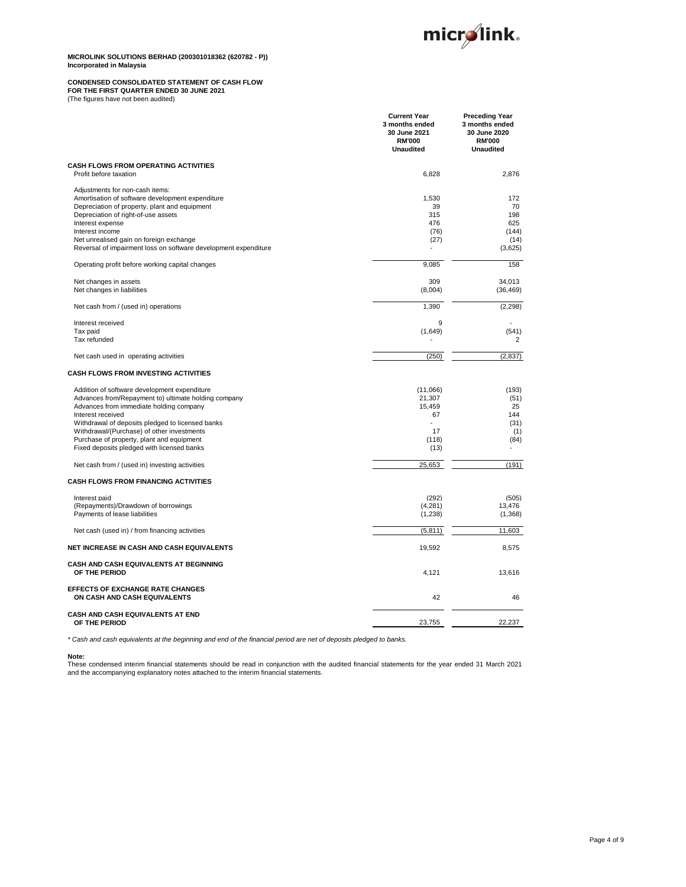

# **CONDENSED CONSOLIDATED STATEMENT OF CASH FLOW FOR THE FIRST QUARTER ENDED 30 JUNE 2021** (The figures have not been audited)

|                                                                         | <b>Current Year</b><br>3 months ended<br>30 June 2021<br><b>RM'000</b><br><b>Unaudited</b> | <b>Preceding Year</b><br>3 months ended<br>30 June 2020<br><b>RM'000</b><br><b>Unaudited</b> |
|-------------------------------------------------------------------------|--------------------------------------------------------------------------------------------|----------------------------------------------------------------------------------------------|
| <b>CASH FLOWS FROM OPERATING ACTIVITIES</b><br>Profit before taxation   | 6,828                                                                                      | 2,876                                                                                        |
| Adiustments for non-cash items:                                         |                                                                                            |                                                                                              |
| Amortisation of software development expenditure                        | 1,530                                                                                      | 172                                                                                          |
| Depreciation of property, plant and equipment                           | 39                                                                                         | 70                                                                                           |
| Depreciation of right-of-use assets                                     | 315                                                                                        | 198                                                                                          |
| Interest expense                                                        | 476                                                                                        | 625                                                                                          |
| Interest income                                                         | (76)                                                                                       | (144)                                                                                        |
| Net unrealised gain on foreign exchange                                 | (27)                                                                                       | (14)                                                                                         |
| Reversal of impairment loss on software development expenditure         |                                                                                            | (3,625)                                                                                      |
| Operating profit before working capital changes                         | 9,085                                                                                      | 158                                                                                          |
| Net changes in assets                                                   | 309                                                                                        | 34,013                                                                                       |
| Net changes in liabilities                                              | (8,004)                                                                                    | (36, 469)                                                                                    |
| Net cash from / (used in) operations                                    | 1,390                                                                                      | (2, 298)                                                                                     |
| Interest received                                                       | 9                                                                                          |                                                                                              |
| Tax paid                                                                | (1,649)                                                                                    | (541)                                                                                        |
| Tax refunded                                                            |                                                                                            | 2                                                                                            |
| Net cash used in operating activities                                   | (250)                                                                                      | (2, 837)                                                                                     |
| <b>CASH FLOWS FROM INVESTING ACTIVITIES</b>                             |                                                                                            |                                                                                              |
| Addition of software development expenditure                            | (11,066)                                                                                   | (193)                                                                                        |
| Advances from/Repayment to) ultimate holding company                    | 21,307                                                                                     | (51)                                                                                         |
| Advances from immediate holding company                                 | 15,459                                                                                     | 25                                                                                           |
| Interest received                                                       | 67                                                                                         | 144                                                                                          |
| Withdrawal of deposits pledged to licensed banks                        |                                                                                            | (31)                                                                                         |
| Withdrawal/(Purchase) of other investments                              | 17                                                                                         | (1)                                                                                          |
| Purchase of property, plant and equipment                               | (118)                                                                                      | (84)                                                                                         |
| Fixed deposits pledged with licensed banks                              | (13)                                                                                       |                                                                                              |
| Net cash from / (used in) investing activities                          | 25,653                                                                                     | (191)                                                                                        |
| <b>CASH FLOWS FROM FINANCING ACTIVITIES</b>                             |                                                                                            |                                                                                              |
| Interest paid                                                           | (292)                                                                                      | (505)                                                                                        |
| (Repayments)/Drawdown of borrowings                                     | (4,281)                                                                                    | 13,476                                                                                       |
| Payments of lease liabilities                                           | (1,238)                                                                                    | (1,368)                                                                                      |
| Net cash (used in) / from financing activities                          | (5,811)                                                                                    | 11,603                                                                                       |
| NET INCREASE IN CASH AND CASH EQUIVALENTS                               | 19,592                                                                                     | 8,575                                                                                        |
| CASH AND CASH EQUIVALENTS AT BEGINNING<br>OF THE PERIOD                 | 4,121                                                                                      | 13,616                                                                                       |
| <b>EFFECTS OF EXCHANGE RATE CHANGES</b><br>ON CASH AND CASH EQUIVALENTS | 42                                                                                         | 46                                                                                           |
| CASH AND CASH EQUIVALENTS AT END<br>OF THE PERIOD                       | 23,755                                                                                     | 22.237                                                                                       |

- *\* Cash and cash equivalents at the beginning and end of the financial period are net of deposits pledged to banks.*

#### **Note:**

These condensed interim financial statements should be read in conjunction with the audited financial statements for the year ended 31 March 2021<br>and the accompanying explanatory notes attached to the interim financial sta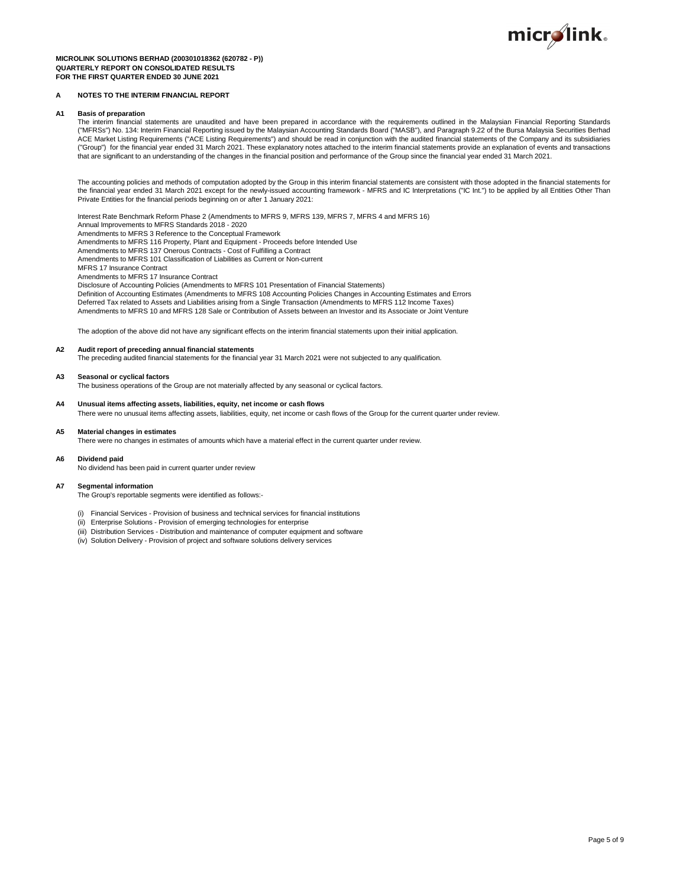

#### **MICROLINK SOLUTIONS BERHAD (200301018362 (620782 - P)) QUARTERLY REPORT ON CONSOLIDATED RESULTS FOR THE FIRST QUARTER ENDED 30 JUNE 2021**

#### **A NOTES TO THE INTERIM FINANCIAL REPORT**

#### **A1 Basis of preparation**

The interim financial statements are unaudited and have been prepared in accordance with the requirements outlined in the Malaysian Financial Reporting Standards ("MFRSs") No. 134: Interim Financial Reporting issued by the Malaysian Accounting Standards Board ("MASB"), and Paragraph 9.22 of the Bursa Malaysia Securities Berhad ACE Market Listing Requirements ("ACE Listing Requirements") and should be read in conjunction with the audited financial statements of the Company and its subsidiaries ("Group") for the financial year ended 31 March 2021. These explanatory notes attached to the interim financial statements provide an explanation of events and transactions that are significant to an understanding of the changes in the financial position and performance of the Group since the financial year ended 31 March 2021.

The accounting policies and methods of computation adopted by the Group in this interim financial statements are consistent with those adopted in the financial statements for the financial year ended 31 March 2021 except for the newly-issued accounting framework - MFRS and IC Interpretations ("IC Int.") to be applied by all Entities Other Than<br>Private Entities for the financial periods beginnin

Interest Rate Benchmark Reform Phase 2 (Amendments to MFRS 9, MFRS 139, MFRS 7, MFRS 4 and MFRS 16) Annual Improvements to MFRS Standards 2018 - 2020

Amendments to MFRS 3 Reference to the Conceptual Framework

Amendments to MFRS 116 Property, Plant and Equipment - Proceeds before Intended Use

Amendments to MFRS 137 Onerous Contracts - Cost of Fulfilling a Contract

Amendments to MFRS 101 Classification of Liabilities as Current or Non-current

MFRS 17 Insurance Contract

Amendments to MFRS 17 Insurance Contract

Disclosure of Accounting Policies (Amendments to MFRS 101 Presentation of Financial Statements)

Definition of Accounting Estimates (Amendments to MFRS 108 Accounting Policies Changes in Accounting Estimates and Errors Deferred Tax related to Assets and Liabilities arising from a Single Transaction (Amendments to MFRS 112 Income Taxes) Amendments to MFRS 10 and MFRS 128 Sale or Contribution of Assets between an Investor and its Associate or Joint Venture

The adoption of the above did not have any significant effects on the interim financial statements upon their initial application.

**A2 Audit report of preceding annual financial statements**

The preceding audited financial statements for the financial year 31 March 2021 were not subjected to any qualification.

#### **A3 Seasonal or cyclical factors**

The business operations of the Group are not materially affected by any seasonal or cyclical factors.

#### **A4 Unusual items affecting assets, liabilities, equity, net income or cash flows**

There were no unusual items affecting assets, liabilities, equity, net income or cash flows of the Group for the current quarter under review.

#### **A5 Material changes in estimates**

There were no changes in estimates of amounts which have a material effect in the current quarter under review.

#### **A6 Dividend paid**

No dividend has been paid in current quarter under review

#### **A7 Segmental information**

The Group's reportable segments were identified as follows:-

- (i) Financial Services Provision of business and technical services for financial institutions
- (ii) Enterprise Solutions Provision of emerging technologies for enterprise
- (iii) Distribution Services Distribution and maintenance of computer equipment and software
- (iv) Solution Delivery Provision of project and software solutions delivery services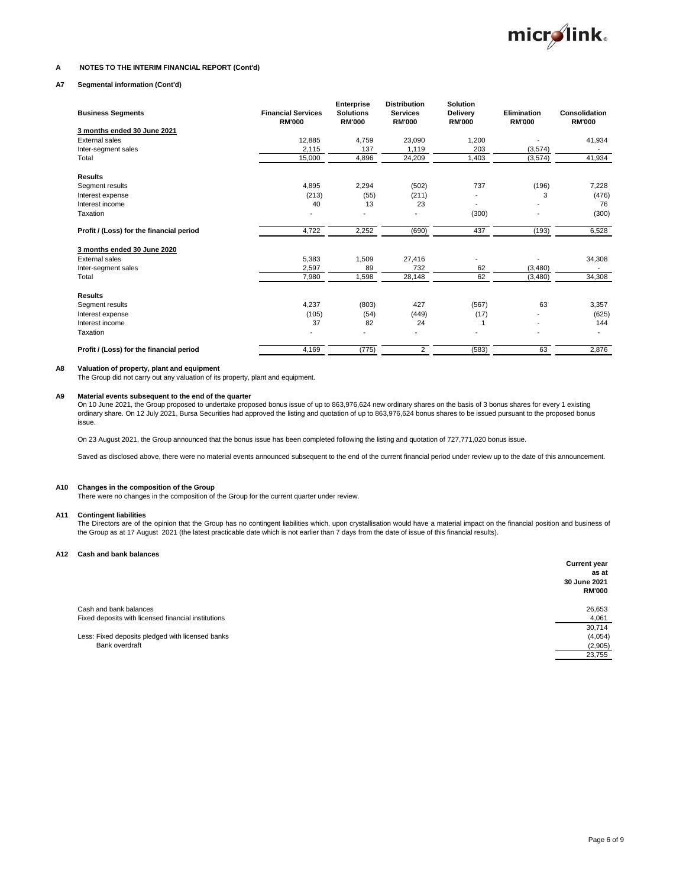

#### **A NOTES TO THE INTERIM FINANCIAL REPORT (Cont'd)**

#### **A7 Segmental information (Cont'd)**

| <b>Business Segments</b>                 | <b>Financial Services</b><br><b>RM'000</b> | Enterprise<br><b>Solutions</b><br><b>RM'000</b> | <b>Distribution</b><br><b>Services</b><br><b>RM'000</b> | <b>Solution</b><br><b>Delivery</b><br><b>RM'000</b> | <b>Elimination</b><br><b>RM'000</b> | Consolidation<br><b>RM'000</b> |
|------------------------------------------|--------------------------------------------|-------------------------------------------------|---------------------------------------------------------|-----------------------------------------------------|-------------------------------------|--------------------------------|
| 3 months ended 30 June 2021              |                                            |                                                 |                                                         |                                                     |                                     |                                |
| <b>External sales</b>                    | 12,885                                     | 4,759                                           | 23,090                                                  | 1,200                                               |                                     | 41,934                         |
| Inter-segment sales                      | 2,115                                      | 137                                             | 1,119                                                   | 203                                                 | (3,574)                             |                                |
| Total                                    | 15,000                                     | 4,896                                           | 24,209                                                  | 1,403                                               | (3,574)                             | 41,934                         |
| <b>Results</b>                           |                                            |                                                 |                                                         |                                                     |                                     |                                |
| Segment results                          | 4,895                                      | 2,294                                           | (502)                                                   | 737                                                 | (196)                               | 7,228                          |
| Interest expense                         | (213)                                      | (55)                                            | (211)                                                   |                                                     | 3                                   | (476)                          |
| Interest income                          | 40                                         | 13                                              | 23                                                      | ٠                                                   |                                     | 76                             |
| Taxation                                 |                                            |                                                 |                                                         | (300)                                               |                                     | (300)                          |
| Profit / (Loss) for the financial period | 4,722                                      | 2,252                                           | (690)                                                   | 437                                                 | (193)                               | 6,528                          |
| 3 months ended 30 June 2020              |                                            |                                                 |                                                         |                                                     |                                     |                                |
| <b>External sales</b>                    | 5,383                                      | 1,509                                           | 27,416                                                  |                                                     |                                     | 34,308                         |
| Inter-segment sales                      | 2,597                                      | 89                                              | 732                                                     | 62                                                  | (3,480)                             |                                |
| Total                                    | 7,980                                      | 1,598                                           | 28,148                                                  | 62                                                  | (3,480)                             | 34,308                         |
| <b>Results</b>                           |                                            |                                                 |                                                         |                                                     |                                     |                                |
| Segment results                          | 4,237                                      | (803)                                           | 427                                                     | (567)                                               | 63                                  | 3,357                          |
| Interest expense                         | (105)                                      | (54)                                            | (449)                                                   | (17)                                                |                                     | (625)                          |
| Interest income                          | 37                                         | 82                                              | 24                                                      |                                                     |                                     | 144                            |
| Taxation                                 |                                            |                                                 |                                                         |                                                     |                                     |                                |
| Profit / (Loss) for the financial period | 4,169                                      | (775)                                           | $\overline{2}$                                          | (583)                                               | 63                                  | 2,876                          |

**A8 Valuation of property, plant and equipment**

The Group did not carry out any valuation of its property, plant and equipment.

#### **A9 Material events subsequent to the end of the quarter**

On 10 June 2021, the Group proposed to undertake proposed bonus issue of up to 863,976,624 new ordinary shares on the basis of 3 bonus shares for every 1 existing ordinary share. On 12 July 2021, Bursa Securities had approved the listing and quotation of up to 863,976,624 bonus shares to be issued pursuant to the proposed bonus issue.

On 23 August 2021, the Group announced that the bonus issue has been completed following the listing and quotation of 727,771,020 bonus issue.

Saved as disclosed above, there were no material events announced subsequent to the end of the current financial period under review up to the date of this announcement.

#### **A10 Changes in the composition of the Group**

There were no changes in the composition of the Group for the current quarter under review.

#### **A11 Contingent liabilities**

The Directors are of the opinion that the Group has no contingent liabilities which, upon crystallisation would have a material impact on the financial position and business of the Group as at 17 August 2021 (the latest practicable date which is not earlier than 7 days from the date of issue of this financial results).

#### **A12 Cash and bank balances**

|                                                                               | <b>Current year</b><br>as at<br>30 June 2021<br><b>RM'000</b> |
|-------------------------------------------------------------------------------|---------------------------------------------------------------|
| Cash and bank balances<br>Fixed deposits with licensed financial institutions | 26,653<br>4,061                                               |
| Less: Fixed deposits pledged with licensed banks                              | 30,714<br>(4,054)                                             |
| Bank overdraft                                                                | (2,905)                                                       |
|                                                                               | 23,755                                                        |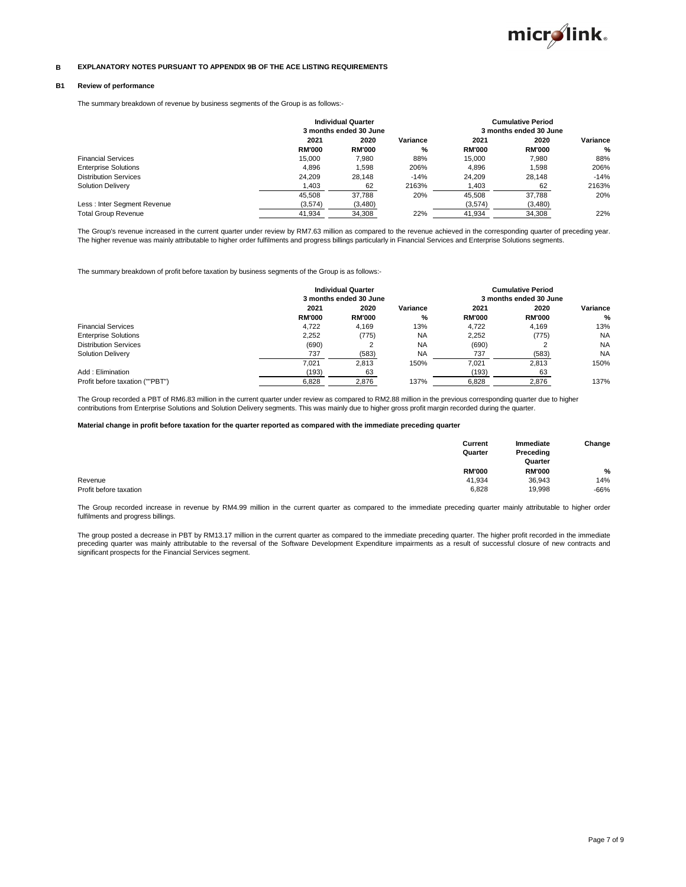

#### **B EXPLANATORY NOTES PURSUANT TO APPENDIX 9B OF THE ACE LISTING REQUIREMENTS**

#### **B1 Review of performance**

The summary breakdown of revenue by business segments of the Group is as follows:-

|                              | <b>Individual Quarter</b> |                        |          | <b>Cumulative Period</b> |                        |               |  |
|------------------------------|---------------------------|------------------------|----------|--------------------------|------------------------|---------------|--|
|                              |                           | 3 months ended 30 June |          |                          | 3 months ended 30 June |               |  |
|                              | 2021                      | 2020                   | Variance | 2021                     | 2020                   | Variance      |  |
|                              | <b>RM'000</b>             | <b>RM'000</b>          | %        | <b>RM'000</b>            | <b>RM'000</b>          | $\frac{0}{0}$ |  |
| <b>Financial Services</b>    | 15.000                    | 7.980                  | 88%      | 15.000                   | 7.980                  | 88%           |  |
| <b>Enterprise Solutions</b>  | 4.896                     | .598                   | 206%     | 4.896                    | 1.598                  | 206%          |  |
| <b>Distribution Services</b> | 24.209                    | 28.148                 | $-14%$   | 24.209                   | 28.148                 | $-14%$        |  |
| <b>Solution Delivery</b>     | 1.403                     | 62                     | 2163%    | 1.403                    | 62                     | 2163%         |  |
|                              | 45.508                    | 37.788                 | 20%      | 45.508                   | 37.788                 | 20%           |  |
| Less : Inter Segment Revenue | (3,574)                   | (3,480)                |          | (3.574)                  | (3,480)                |               |  |
| <b>Total Group Revenue</b>   | 41.934                    | 34.308                 | 22%      | 41.934                   | 34.308                 | 22%           |  |

The Group's revenue increased in the current quarter under review by RM7.63 million as compared to the revenue achieved in the corresponding quarter of preceding year. The higher revenue was mainly attributable to higher order fulfilments and progress billings particularly in Financial Services and Enterprise Solutions segments.

The summary breakdown of profit before taxation by business segments of the Group is as follows:-

|                                 | <b>Individual Quarter</b> |                        |           | <b>Cumulative Period</b> |               |           |
|---------------------------------|---------------------------|------------------------|-----------|--------------------------|---------------|-----------|
|                                 |                           | 3 months ended 30 June |           | 3 months ended 30 June   |               |           |
|                                 | 2021                      | 2020                   | Variance  | 2021                     | 2020          | Variance  |
|                                 | <b>RM'000</b>             | <b>RM'000</b>          | %         | <b>RM'000</b>            | <b>RM'000</b> | $\%$      |
| <b>Financial Services</b>       | 4.722                     | 4.169                  | 13%       | 4.722                    | 4.169         | 13%       |
| <b>Enterprise Solutions</b>     | 2.252                     | (775)                  | <b>NA</b> | 2.252                    | (775)         | <b>NA</b> |
| <b>Distribution Services</b>    | (690)                     |                        | <b>NA</b> | (690)                    |               | <b>NA</b> |
| <b>Solution Delivery</b>        | 737                       | (583)                  | <b>NA</b> | 737                      | (583)         | <b>NA</b> |
|                                 | 7.021                     | 2.813                  | 150%      | 7.021                    | 2.813         | 150%      |
| Add: Elimination                | (193)                     | 63                     |           | (193)                    | 63            |           |
| Profit before taxation (""PBT") | 6.828                     | 2.876                  | 137%      | 6.828                    | 2.876         | 137%      |

The Group recorded a PBT of RM6.83 million in the current quarter under review as compared to RM2.88 million in the previous corresponding quarter due to higher contributions from Enterprise Solutions and Solution Delivery segments. This was mainly due to higher gross profit margin recorded during the quarter.

#### **Material change in profit before taxation for the quarter reported as compared with the immediate preceding quarter**

|                        | Current<br>Quarter | Immediate<br>Preceding<br>Quarter | Change        |  |
|------------------------|--------------------|-----------------------------------|---------------|--|
|                        | <b>RM'000</b>      | <b>RM'000</b>                     | $\frac{0}{0}$ |  |
| Revenue                | 41.934             | 36,943                            | 14%           |  |
| Profit before taxation | 6,828              | 19,998                            | $-66%$        |  |

The Group recorded increase in revenue by RM4.99 million in the current quarter as compared to the immediate preceding quarter mainly attributable to higher order fulfilments and progress billings.

The group posted a decrease in PBT by RM13.17 million in the current quarter as compared to the immediate preceding quarter. The higher profit recorded in the immediate preceding quarter was mainly attributable to the reversal of the Software Development Expenditure impairments as a result of successful closure of new contracts and significant prospects for the Financial Services segment.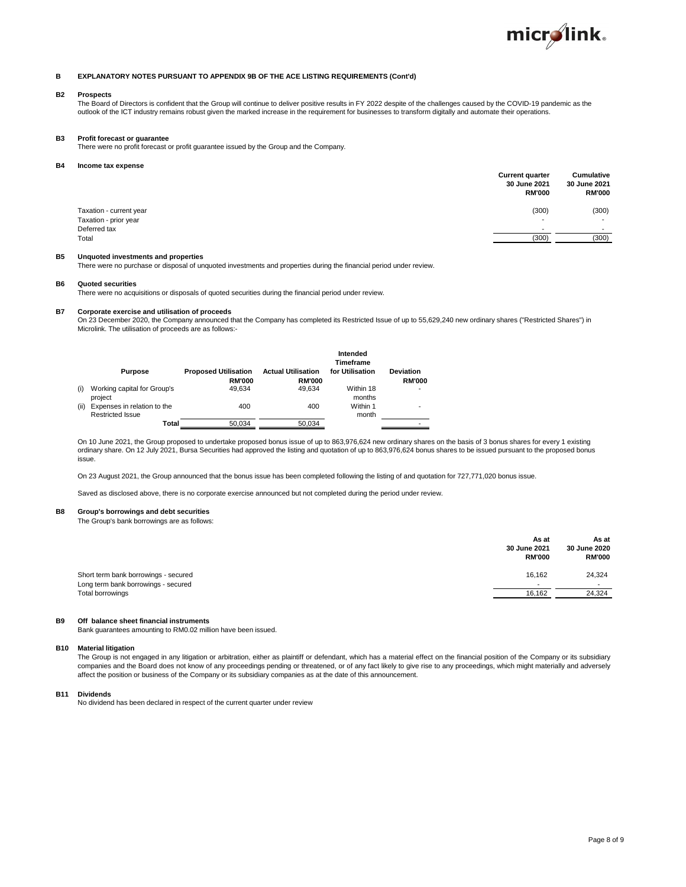

#### **B EXPLANATORY NOTES PURSUANT TO APPENDIX 9B OF THE ACE LISTING REQUIREMENTS (Cont'd)**

## **B2 Prospects**

The Board of Directors is confident that the Group will continue to deliver positive results in FY 2022 despite of the challenges caused by the COVID-19 pandemic as the outlook of the ICT industry remains robust given the marked increase in the requirement for businesses to transform digitally and automate their operations.

#### **B3 Profit forecast or guarantee**

There were no profit forecast or profit guarantee issued by the Group and the Company.

#### **B4 Income tax expense**

|                         | <b>Current quarter</b><br>30 June 2021<br><b>RM'000</b> | <b>Cumulative</b><br>30 June 2021<br><b>RM'000</b> |
|-------------------------|---------------------------------------------------------|----------------------------------------------------|
| Taxation - current year | (300)                                                   | (300)                                              |
| Taxation - prior year   | $\overline{\phantom{0}}$                                |                                                    |
| Deferred tax            | -                                                       | $\sim$                                             |
| Total                   | (300)                                                   | (300)                                              |

#### **B5 Unquoted investments and properties**

There were no purchase or disposal of unquoted investments and properties during the financial period under review.

#### **B6 Quoted securities**

There were no acquisitions or disposals of quoted securities during the financial period under review.

#### **B7 Corporate exercise and utilisation of proceeds**

On 23 December 2020, the Company announced that the Company has completed its Restricted Issue of up to 55,629,240 new ordinary shares ("Restricted Shares") in Microlink. The utilisation of proceeds are as follows:-

|      | <b>Purpose</b>                                  | <b>Proposed Utilisation</b><br><b>RM'000</b> | <b>Actual Utilisation</b><br><b>RM'000</b> | Intended<br>Timeframe<br>for Utilisation | <b>Deviation</b><br><b>RM'000</b> |
|------|-------------------------------------------------|----------------------------------------------|--------------------------------------------|------------------------------------------|-----------------------------------|
| (i)  | Working capital for Group's<br>project          | 49.634                                       | 49.634                                     | Within 18<br>months                      |                                   |
| (ii) | Expenses in relation to the<br>Restricted Issue | 400                                          | 400                                        | Within 1<br>month                        |                                   |
|      | Total                                           | 50.034                                       | 50.034                                     |                                          |                                   |

On 10 June 2021, the Group proposed to undertake proposed bonus issue of up to 863,976,624 new ordinary shares on the basis of 3 bonus shares for every 1 existing ordinary share. On 12 July 2021, Bursa Securities had approved the listing and quotation of up to 863,976,624 bonus shares to be issued pursuant to the proposed bonus issue.

On 23 August 2021, the Group announced that the bonus issue has been completed following the listing of and quotation for 727,771,020 bonus issue.

Saved as disclosed above, there is no corporate exercise announced but not completed during the period under review.

#### **B8 Group's borrowings and debt securities**

The Group's bank borrowings are as follows:

|                                                                             | As at<br>30 June 2021<br><b>RM'000</b> | As at<br>30 June 2020<br><b>RM'000</b> |
|-----------------------------------------------------------------------------|----------------------------------------|----------------------------------------|
| Short term bank borrowings - secured<br>Long term bank borrowings - secured | 16.162<br>$\overline{\phantom{0}}$     | 24,324<br>$\sim$                       |
| Total borrowings                                                            | 16.162                                 | 24,324                                 |

#### **B9 Off balance sheet financial instruments**

Bank guarantees amounting to RM0.02 million have been issued.

#### **B10 Material litigation**

The Group is not engaged in any litigation or arbitration, either as plaintiff or defendant, which has a material effect on the financial position of the Company or its subsidiary companies and the Board does not know of any proceedings pending or threatened, or of any fact likely to give rise to any proceedings, which might materially and adversely affect the position or business of the Company or its subsidiary companies as at the date of this announcement.

**B11 Dividends**

No dividend has been declared in respect of the current quarter under review